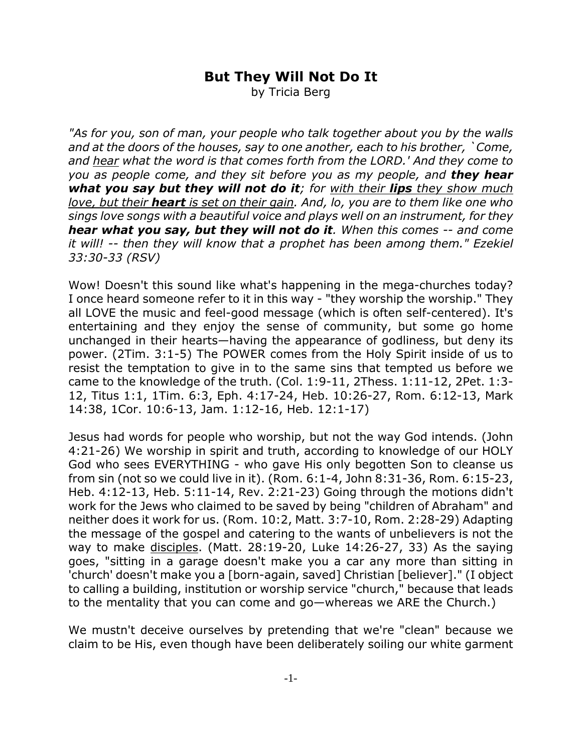## **But They Will Not Do It**

by Tricia Berg

*"As for you, son of man, your people who talk together about you by the walls and at the doors of the houses, say to one another, each to his brother, `Come, and hear what the word is that comes forth from the LORD.' And they come to you as people come, and they sit before you as my people, and they hear what you say but they will not do it; for with their lips they show much love, but their heart is set on their gain. And, lo, you are to them like one who sings love songs with a beautiful voice and plays well on an instrument, for they hear what you say, but they will not do it. When this comes -- and come it will! -- then they will know that a prophet has been among them." Ezekiel 33:30-33 (RSV)*

Wow! Doesn't this sound like what's happening in the mega-churches today? I once heard someone refer to it in this way - "they worship the worship." They all LOVE the music and feel-good message (which is often self-centered). It's entertaining and they enjoy the sense of community, but some go home unchanged in their hearts—having the appearance of godliness, but deny its power. (2Tim. 3:1-5) The POWER comes from the Holy Spirit inside of us to resist the temptation to give in to the same sins that tempted us before we came to the knowledge of the truth. (Col. 1:9-11, 2Thess. 1:11-12, 2Pet. 1:3- 12, Titus 1:1, 1Tim. 6:3, Eph. 4:17-24, Heb. 10:26-27, Rom. 6:12-13, Mark 14:38, 1Cor. 10:6-13, Jam. 1:12-16, Heb. 12:1-17)

Jesus had words for people who worship, but not the way God intends. (John 4:21-26) We worship in spirit and truth, according to knowledge of our HOLY God who sees EVERYTHING - who gave His only begotten Son to cleanse us from sin (not so we could live in it). (Rom. 6:1-4, John 8:31-36, Rom. 6:15-23, Heb. 4:12-13, Heb. 5:11-14, Rev. 2:21-23) Going through the motions didn't work for the Jews who claimed to be saved by being "children of Abraham" and neither does it work for us. (Rom. 10:2, Matt. 3:7-10, Rom. 2:28-29) Adapting the message of the gospel and catering to the wants of unbelievers is not the way to make disciples. (Matt. 28:19-20, Luke 14:26-27, 33) As the saying goes, "sitting in a garage doesn't make you a car any more than sitting in 'church' doesn't make you a [born-again, saved] Christian [believer]." (I object to calling a building, institution or worship service "church," because that leads to the mentality that you can come and go—whereas we ARE the Church.)

We mustn't deceive ourselves by pretending that we're "clean" because we claim to be His, even though have been deliberately soiling our white garment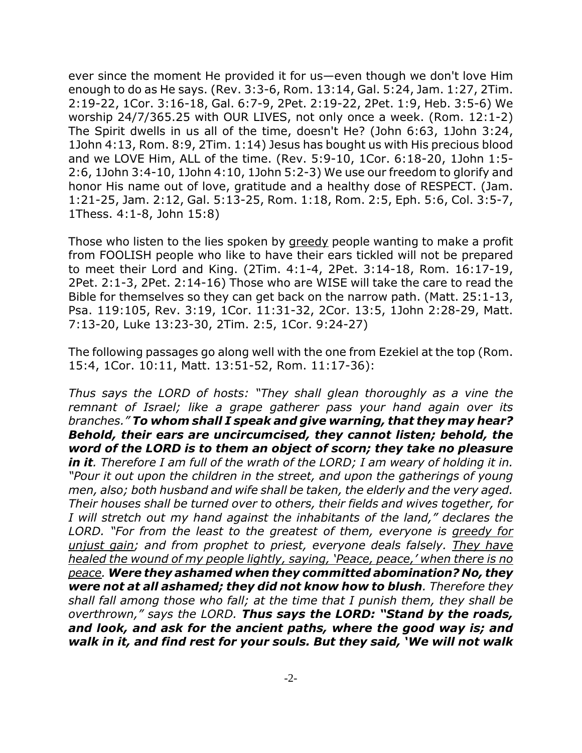ever since the moment He provided it for us—even though we don't love Him enough to do as He says. (Rev. 3:3-6, Rom. 13:14, Gal. 5:24, Jam. 1:27, 2Tim. 2:19-22, 1Cor. 3:16-18, Gal. 6:7-9, 2Pet. 2:19-22, 2Pet. 1:9, Heb. 3:5-6) We worship 24/7/365.25 with OUR LIVES, not only once a week. (Rom. 12:1-2) The Spirit dwells in us all of the time, doesn't He? (John 6:63, 1John 3:24, 1John 4:13, Rom. 8:9, 2Tim. 1:14) Jesus has bought us with His precious blood and we LOVE Him, ALL of the time. (Rev. 5:9-10, 1Cor. 6:18-20, 1John 1:5- 2:6, 1John 3:4-10, 1John 4:10, 1John 5:2-3) We use our freedom to glorify and honor His name out of love, gratitude and a healthy dose of RESPECT. (Jam. 1:21-25, Jam. 2:12, Gal. 5:13-25, Rom. 1:18, Rom. 2:5, Eph. 5:6, Col. 3:5-7, 1Thess. 4:1-8, John 15:8)

Those who listen to the lies spoken by greedy people wanting to make a profit from FOOLISH people who like to have their ears tickled will not be prepared to meet their Lord and King. (2Tim. 4:1-4, 2Pet. 3:14-18, Rom. 16:17-19, 2Pet. 2:1-3, 2Pet. 2:14-16) Those who are WISE will take the care to read the Bible for themselves so they can get back on the narrow path. (Matt. 25:1-13, Psa. 119:105, Rev. 3:19, 1Cor. 11:31-32, 2Cor. 13:5, 1John 2:28-29, Matt. 7:13-20, Luke 13:23-30, 2Tim. 2:5, 1Cor. 9:24-27)

The following passages go along well with the one from Ezekiel at the top (Rom. 15:4, 1Cor. 10:11, Matt. 13:51-52, Rom. 11:17-36):

*Thus says the LORD of hosts: "They shall glean thoroughly as a vine the remnant of Israel; like a grape gatherer pass your hand again over its branches." To whom shall I speak and give warning, that they may hear? Behold, their ears are uncircumcised, they cannot listen; behold, the word of the LORD is to them an object of scorn; they take no pleasure in it. Therefore I am full of the wrath of the LORD; I am weary of holding it in. "Pour it out upon the children in the street, and upon the gatherings of young men, also; both husband and wife shall be taken, the elderly and the very aged. Their houses shall be turned over to others, their fields and wives together, for I will stretch out my hand against the inhabitants of the land," declares the LORD. "For from the least to the greatest of them, everyone is greedy for unjust gain; and from prophet to priest, everyone deals falsely. They have healed the wound of my people lightly, saying, 'Peace, peace,' when there is no peace. Were they ashamed when they committed abomination? No, they were not at all ashamed; they did not know how to blush. Therefore they shall fall among those who fall; at the time that I punish them, they shall be overthrown," says the LORD. Thus says the LORD: "Stand by the roads, and look, and ask for the ancient paths, where the good way is; and walk in it, and find rest for your souls. But they said, 'We will not walk*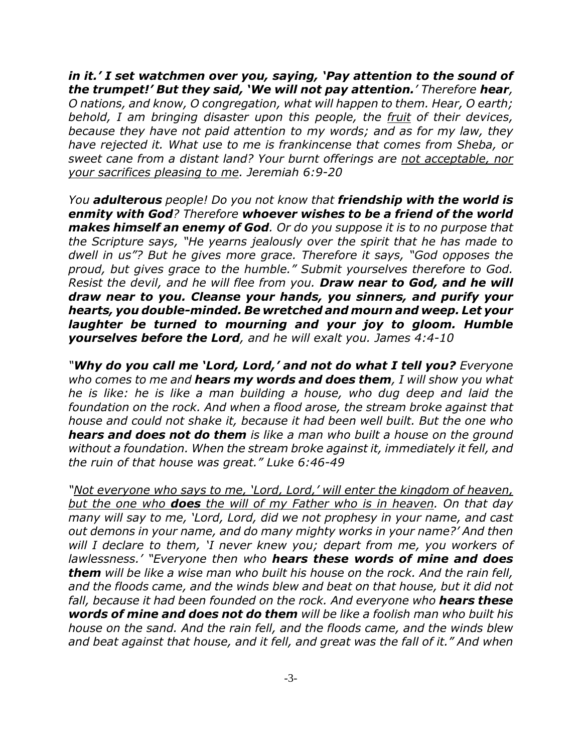*in it.' I set watchmen over you, saying, 'Pay attention to the sound of the trumpet!' But they said, 'We will not pay attention.' Therefore hear, O nations, and know, O congregation, what will happen to them. Hear, O earth; behold, I am bringing disaster upon this people, the fruit of their devices, because they have not paid attention to my words; and as for my law, they have rejected it. What use to me is frankincense that comes from Sheba, or sweet cane from a distant land? Your burnt offerings are not acceptable, nor your sacrifices pleasing to me. Jeremiah 6:9-20*

*You adulterous people! Do you not know that friendship with the world is enmity with God? Therefore whoever wishes to be a friend of the world makes himself an enemy of God. Or do you suppose it is to no purpose that the Scripture says, "He yearns jealously over the spirit that he has made to dwell in us"? But he gives more grace. Therefore it says, "God opposes the proud, but gives grace to the humble." Submit yourselves therefore to God. Resist the devil, and he will flee from you. Draw near to God, and he will draw near to you. Cleanse your hands, you sinners, and purify your hearts, you double-minded. Be wretched and mourn and weep. Let your laughter be turned to mourning and your joy to gloom. Humble yourselves before the Lord, and he will exalt you. James 4:4-10*

*"Why do you call me 'Lord, Lord,' and not do what I tell you? Everyone who comes to me and hears my words and does them, I will show you what he is like: he is like a man building a house, who dug deep and laid the foundation on the rock. And when a flood arose, the stream broke against that house and could not shake it, because it had been well built. But the one who hears and does not do them is like a man who built a house on the ground without a foundation. When the stream broke against it, immediately it fell, and the ruin of that house was great." Luke 6:46-49*

*"Not everyone who says to me, 'Lord, Lord,' will enter the kingdom of heaven, but the one who does the will of my Father who is in heaven. On that day many will say to me, 'Lord, Lord, did we not prophesy in your name, and cast out demons in your name, and do many mighty works in your name?' And then will I declare to them, 'I never knew you; depart from me, you workers of lawlessness.' "Everyone then who hears these words of mine and does them will be like a wise man who built his house on the rock. And the rain fell, and the floods came, and the winds blew and beat on that house, but it did not fall, because it had been founded on the rock. And everyone who hears these words of mine and does not do them will be like a foolish man who built his house on the sand. And the rain fell, and the floods came, and the winds blew and beat against that house, and it fell, and great was the fall of it." And when*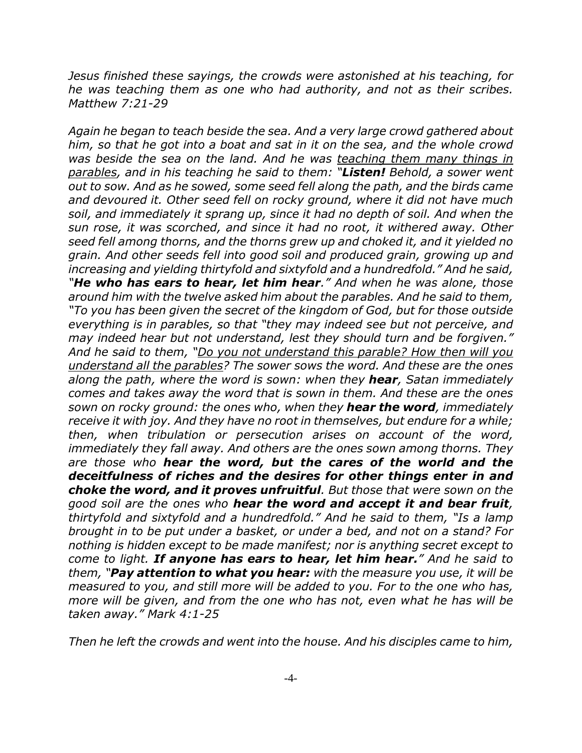*Jesus finished these sayings, the crowds were astonished at his teaching, for he was teaching them as one who had authority, and not as their scribes. Matthew 7:21-29*

*Again he began to teach beside the sea. And a very large crowd gathered about him, so that he got into a boat and sat in it on the sea, and the whole crowd was beside the sea on the land. And he was teaching them many things in parables, and in his teaching he said to them: "Listen! Behold, a sower went out to sow. And as he sowed, some seed fell along the path, and the birds came and devoured it. Other seed fell on rocky ground, where it did not have much soil, and immediately it sprang up, since it had no depth of soil. And when the sun rose, it was scorched, and since it had no root, it withered away. Other seed fell among thorns, and the thorns grew up and choked it, and it yielded no grain. And other seeds fell into good soil and produced grain, growing up and increasing and yielding thirtyfold and sixtyfold and a hundredfold." And he said, "He who has ears to hear, let him hear." And when he was alone, those around him with the twelve asked him about the parables. And he said to them, "To you has been given the secret of the kingdom of God, but for those outside everything is in parables, so that "they may indeed see but not perceive, and may indeed hear but not understand, lest they should turn and be forgiven." And he said to them, "Do you not understand this parable? How then will you understand all the parables? The sower sows the word. And these are the ones along the path, where the word is sown: when they hear, Satan immediately comes and takes away the word that is sown in them. And these are the ones sown on rocky ground: the ones who, when they hear the word, immediately receive it with joy. And they have no root in themselves, but endure for a while; then, when tribulation or persecution arises on account of the word, immediately they fall away. And others are the ones sown among thorns. They are those who hear the word, but the cares of the world and the deceitfulness of riches and the desires for other things enter in and choke the word, and it proves unfruitful. But those that were sown on the good soil are the ones who hear the word and accept it and bear fruit, thirtyfold and sixtyfold and a hundredfold." And he said to them, "Is a lamp brought in to be put under a basket, or under a bed, and not on a stand? For nothing is hidden except to be made manifest; nor is anything secret except to come to light. If anyone has ears to hear, let him hear." And he said to them, "Pay attention to what you hear: with the measure you use, it will be measured to you, and still more will be added to you. For to the one who has, more will be given, and from the one who has not, even what he has will be taken away." Mark 4:1-25*

*Then he left the crowds and went into the house. And his disciples came to him,*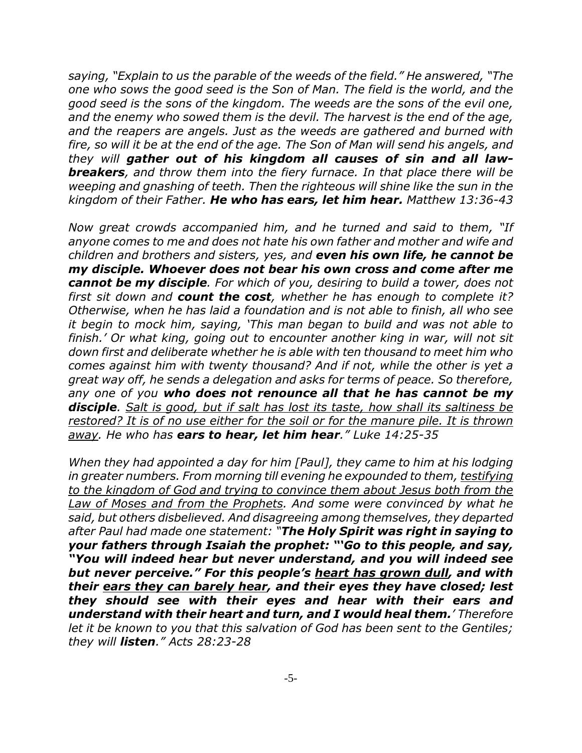*saying, "Explain to us the parable of the weeds of the field." He answered, "The one who sows the good seed is the Son of Man. The field is the world, and the good seed is the sons of the kingdom. The weeds are the sons of the evil one, and the enemy who sowed them is the devil. The harvest is the end of the age, and the reapers are angels. Just as the weeds are gathered and burned with fire, so will it be at the end of the age. The Son of Man will send his angels, and they will gather out of his kingdom all causes of sin and all lawbreakers, and throw them into the fiery furnace. In that place there will be weeping and gnashing of teeth. Then the righteous will shine like the sun in the kingdom of their Father. He who has ears, let him hear. Matthew 13:36-43*

*Now great crowds accompanied him, and he turned and said to them, "If anyone comes to me and does not hate his own father and mother and wife and children and brothers and sisters, yes, and even his own life, he cannot be my disciple. Whoever does not bear his own cross and come after me cannot be my disciple. For which of you, desiring to build a tower, does not first sit down and count the cost, whether he has enough to complete it? Otherwise, when he has laid a foundation and is not able to finish, all who see it begin to mock him, saying, 'This man began to build and was not able to finish.' Or what king, going out to encounter another king in war, will not sit down first and deliberate whether he is able with ten thousand to meet him who comes against him with twenty thousand? And if not, while the other is yet a great way off, he sends a delegation and asks for terms of peace. So therefore, any one of you who does not renounce all that he has cannot be my disciple. Salt is good, but if salt has lost its taste, how shall its saltiness be restored? It is of no use either for the soil or for the manure pile. It is thrown away. He who has ears to hear, let him hear." Luke 14:25-35*

*When they had appointed a day for him [Paul], they came to him at his lodging in greater numbers. From morning till evening he expounded to them, testifying to the kingdom of God and trying to convince them about Jesus both from the Law of Moses and from the Prophets. And some were convinced by what he said, but others disbelieved. And disagreeing among themselves, they departed after Paul had made one statement: "The Holy Spirit was right in saying to your fathers through Isaiah the prophet: "'Go to this people, and say, "You will indeed hear but never understand, and you will indeed see but never perceive." For this people's heart has grown dull, and with their ears they can barely hear, and their eyes they have closed; lest they should see with their eyes and hear with their ears and understand with their heart and turn, and I would heal them.' Therefore let it be known to you that this salvation of God has been sent to the Gentiles; they will listen." Acts 28:23-28*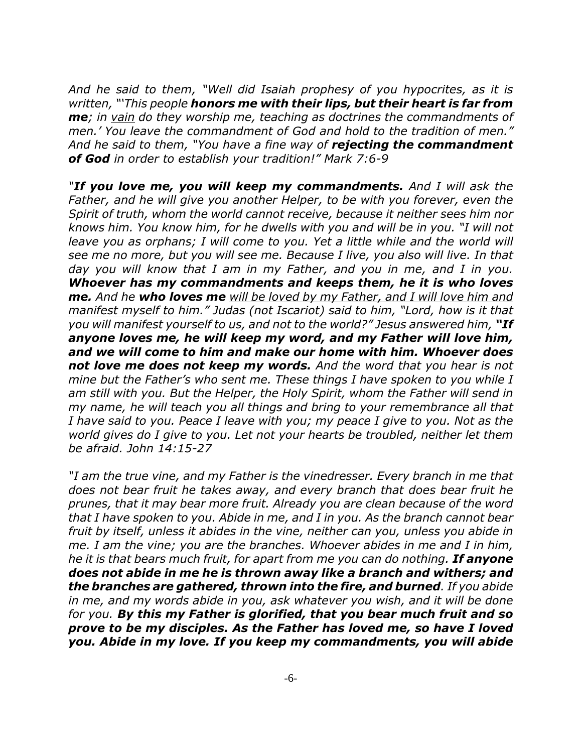*And he said to them, "Well did Isaiah prophesy of you hypocrites, as it is written, "'This people honors me with their lips, but their heart is far from me; in vain do they worship me, teaching as doctrines the commandments of men.' You leave the commandment of God and hold to the tradition of men." And he said to them, "You have a fine way of rejecting the commandment of God in order to establish your tradition!" Mark 7:6-9*

*"If you love me, you will keep my commandments. And I will ask the Father, and he will give you another Helper, to be with you forever, even the Spirit of truth, whom the world cannot receive, because it neither sees him nor knows him. You know him, for he dwells with you and will be in you. "I will not leave you as orphans; I will come to you. Yet a little while and the world will see me no more, but you will see me. Because I live, you also will live. In that day you will know that I am in my Father, and you in me, and I in you. Whoever has my commandments and keeps them, he it is who loves me. And he who loves me will be loved by my Father, and I will love him and manifest myself to him." Judas (not Iscariot) said to him, "Lord, how is it that you will manifest yourself to us, and not to the world?" Jesus answered him, "If anyone loves me, he will keep my word, and my Father will love him, and we will come to him and make our home with him. Whoever does not love me does not keep my words. And the word that you hear is not mine but the Father's who sent me. These things I have spoken to you while I am still with you. But the Helper, the Holy Spirit, whom the Father will send in my name, he will teach you all things and bring to your remembrance all that I have said to you. Peace I leave with you; my peace I give to you. Not as the world gives do I give to you. Let not your hearts be troubled, neither let them be afraid. John 14:15-27*

*"I am the true vine, and my Father is the vinedresser. Every branch in me that does not bear fruit he takes away, and every branch that does bear fruit he prunes, that it may bear more fruit. Already you are clean because of the word that I have spoken to you. Abide in me, and I in you. As the branch cannot bear fruit by itself, unless it abides in the vine, neither can you, unless you abide in me. I am the vine; you are the branches. Whoever abides in me and I in him, he it is that bears much fruit, for apart from me you can do nothing. If anyone does not abide in me he is thrown away like a branch and withers; and the branches are gathered, thrown into the fire, and burned. If you abide in me, and my words abide in you, ask whatever you wish, and it will be done for you. By this my Father is glorified, that you bear much fruit and so prove to be my disciples. As the Father has loved me, so have I loved you. Abide in my love. If you keep my commandments, you will abide*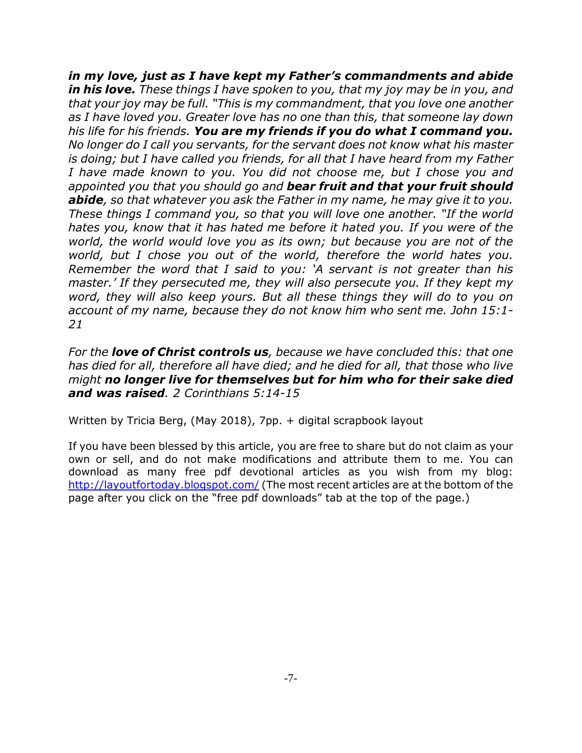*in my love, just as I have kept my Father's commandments and abide in his love. These things I have spoken to you, that my joy may be in you, and that your joy may be full. "This is my commandment, that you love one another as I have loved you. Greater love has no one than this, that someone lay down his life for his friends. You are my friends if you do what I command you. No longer do I call you servants, for the servant does not know what his master is doing; but I have called you friends, for all that I have heard from my Father I have made known to you. You did not choose me, but I chose you and appointed you that you should go and bear fruit and that your fruit should abide, so that whatever you ask the Father in my name, he may give it to you. These things I command you, so that you will love one another. "If the world hates you, know that it has hated me before it hated you. If you were of the world, the world would love you as its own; but because you are not of the world, but I chose you out of the world, therefore the world hates you. Remember the word that I said to you: 'A servant is not greater than his master.' If they persecuted me, they will also persecute you. If they kept my word, they will also keep yours. But all these things they will do to you on account of my name, because they do not know him who sent me. John 15:1- 21*

*For the love of Christ controls us, because we have concluded this: that one has died for all, therefore all have died; and he died for all, that those who live might no longer live for themselves but for him who for their sake died and was raised. 2 Corinthians 5:14-15*

Written by Tricia Berg, (May 2018), 7pp. + digital scrapbook layout

If you have been blessed by this article, you are free to share but do not claim as your own or sell, and do not make modifications and attribute them to me. You can download as many free pdf devotional articles as you wish from my blog: http://layoutfortoday.blogspot.com/ (The most recent articles are at the bottom of the page after you click on the "free pdf downloads" tab at the top of the page.)